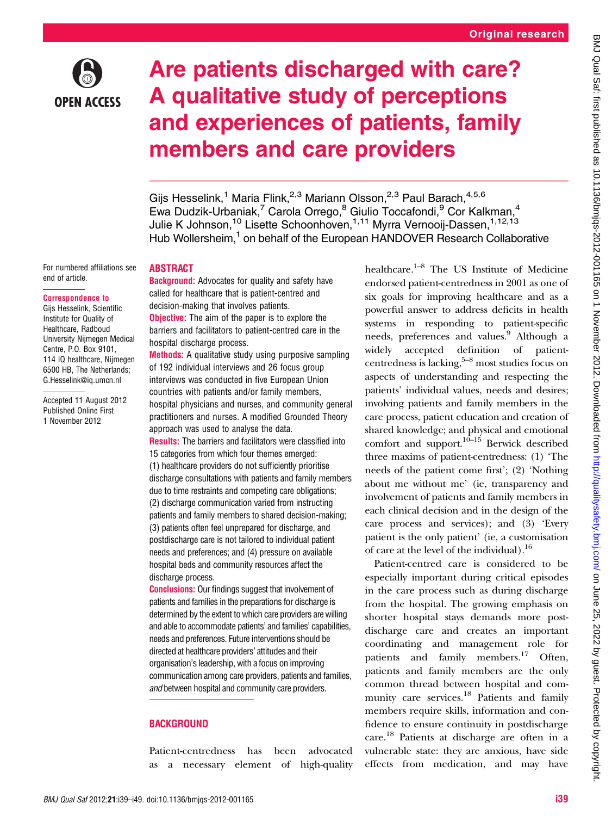

# Are patients discharged with care? A qualitative study of perceptions and experiences of patients, family members and care providers

Gijs Hesselink,<sup>1</sup> Maria Flink,<sup>2,3</sup> Mariann Olsson,<sup>2,3</sup> Paul Barach,<sup>4,5,6</sup> Ewa Dudzik-Urbaniak,<sup>7</sup> Carola Orrego,<sup>8</sup> Giulio Toccafondi,<sup>9</sup> Cor Kalkman,<sup>4</sup> Julie K Johnson,<sup>10</sup> Lisette Schoonhoven,<sup>1,11</sup> Myrra Vernooij-Dassen,<sup>1,12,13</sup> Hub Wollersheim,<sup>1</sup> on behalf of the European HANDOVER Research Collaborative

For numbered affiliations see end of article.

#### Correspondence to

Gijs Hesselink, Scientific Institute for Quality of Healthcare, Radboud University Nijmegen Medical Centre, P.O. Box 9101, 114 IQ healthcare, Nijmegen 6500 HB, The Netherlands; G.Hesselink@iq.umcn.nl

Accepted 11 August 2012 Published Online First 1 November 2012

**Background:** Advocates for quality and safety have called for healthcare that is patient-centred and decision-making that involves patients. **Objective:** The aim of the paper is to explore the

ABSTRACT

barriers and facilitators to patient-centred care in the hospital discharge process. **Methods:** A qualitative study using purposive sampling

of 192 individual interviews and 26 focus group interviews was conducted in five European Union countries with patients and/or family members, hospital physicians and nurses, and community general practitioners and nurses. A modified Grounded Theory approach was used to analyse the data.

Results: The barriers and facilitators were classified into 15 categories from which four themes emerged: (1) healthcare providers do not sufficiently prioritise discharge consultations with patients and family members due to time restraints and competing care obligations; (2) discharge communication varied from instructing patients and family members to shared decision-making; (3) patients often feel unprepared for discharge, and postdischarge care is not tailored to individual patient needs and preferences; and (4) pressure on available hospital beds and community resources affect the discharge process.

**Conclusions:** Our findings suggest that involvement of patients and families in the preparations for discharge is determined by the extent to which care providers are willing and able to accommodate patients' and families' capabilities, needs and preferences. Future interventions should be directed at healthcare providers' attitudes and their organisation's leadership, with a focus on improving communication among care providers, patients and families, and between hospital and community care providers.

## **BACKGROUND**

Patient-centredness has been advocated as a necessary element of high-quality healthcare. $1-8$  The US Institute of Medicine endorsed patient-centredness in 2001 as one of six goals for improving healthcare and as a powerful answer to address deficits in health systems in responding to patient-specific needs, preferences and values.<sup>9</sup> Although a widely accepted definition of patientcentredness is lacking, $5-8$  most studies focus on aspects of understanding and respecting the patients' individual values, needs and desires; involving patients and family members in the care process, patient education and creation of shared knowledge; and physical and emotional comfort and support.<sup>10–15</sup> Berwick described three maxims of patient-centredness: (1) 'The needs of the patient come first'; (2) 'Nothing about me without me' (ie, transparency and involvement of patients and family members in each clinical decision and in the design of the care process and services); and (3) 'Every patient is the only patient' (ie, a customisation of care at the level of the individual).16

Patient-centred care is considered to be especially important during critical episodes in the care process such as during discharge from the hospital. The growing emphasis on shorter hospital stays demands more postdischarge care and creates an important coordinating and management role for patients and family members.<sup>17</sup> Often, patients and family members are the only common thread between hospital and community care services.<sup>18</sup> Patients and family members require skills, information and confidence to ensure continuity in postdischarge care. <sup>18</sup> Patients at discharge are often in a vulnerable state: they are anxious, have side effects from medication, and may have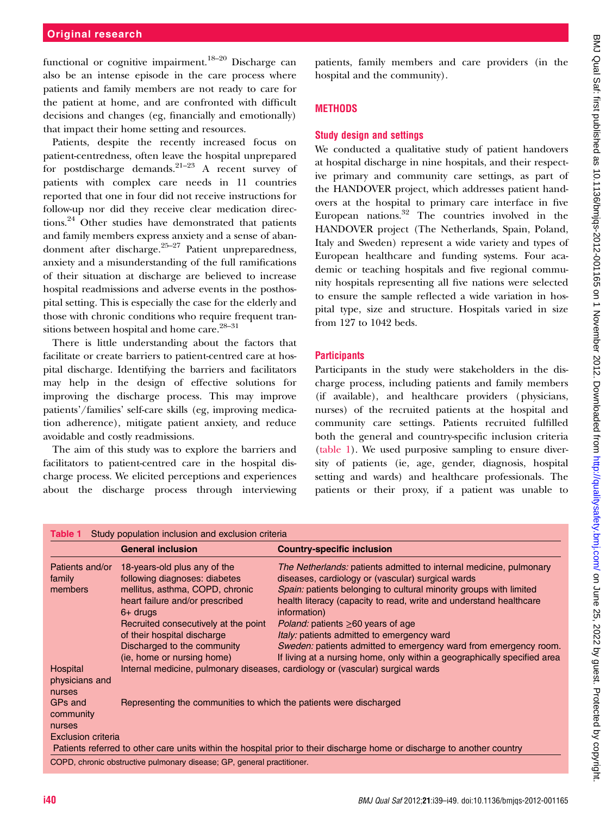# Original research

functional or cognitive impairment.<sup>18–20</sup> Discharge can also be an intense episode in the care process where patients and family members are not ready to care for the patient at home, and are confronted with difficult decisions and changes (eg, financially and emotionally) that impact their home setting and resources.

Patients, despite the recently increased focus on patient-centredness, often leave the hospital unprepared for postdischarge demands.  $2^{1-23}$  A recent survey of patients with complex care needs in 11 countries reported that one in four did not receive instructions for follow-up nor did they receive clear medication directions.<sup>24</sup> Other studies have demonstrated that patients and family members express anxiety and a sense of abandonment after discharge.25–<sup>27</sup> Patient unpreparedness, anxiety and a misunderstanding of the full ramifications of their situation at discharge are believed to increase hospital readmissions and adverse events in the posthospital setting. This is especially the case for the elderly and those with chronic conditions who require frequent transitions between hospital and home care. $28-31$ 

There is little understanding about the factors that facilitate or create barriers to patient-centred care at hospital discharge. Identifying the barriers and facilitators may help in the design of effective solutions for improving the discharge process. This may improve patients'/families' self-care skills (eg, improving medication adherence), mitigate patient anxiety, and reduce avoidable and costly readmissions.

The aim of this study was to explore the barriers and facilitators to patient-centred care in the hospital discharge process. We elicited perceptions and experiences about the discharge process through interviewing

patients, family members and care providers (in the hospital and the community).

## **METHODS**

#### Study design and settings

We conducted a qualitative study of patient handovers at hospital discharge in nine hospitals, and their respective primary and community care settings, as part of the HANDOVER project, which addresses patient handovers at the hospital to primary care interface in five European nations. $32$  The countries involved in the HANDOVER project (The Netherlands, Spain, Poland, Italy and Sweden) represent a wide variety and types of European healthcare and funding systems. Four academic or teaching hospitals and five regional community hospitals representing all five nations were selected to ensure the sample reflected a wide variation in hospital type, size and structure. Hospitals varied in size from 127 to 1042 beds.

#### **Participants**

Participants in the study were stakeholders in the discharge process, including patients and family members (if available), and healthcare providers (physicians, nurses) of the recruited patients at the hospital and community care settings. Patients recruited fulfilled both the general and country-specific inclusion criteria (table 1). We used purposive sampling to ensure diversity of patients (ie, age, gender, diagnosis, hospital setting and wards) and healthcare professionals. The patients or their proxy, if a patient was unable to

| Study population inclusion and exclusion criteria<br>Table 1           |                                                                                                                                                                                                                                                                                       |                                                                                                                                                                                                                                                                                                                                                                                                                                                                                                                                      |  |  |  |
|------------------------------------------------------------------------|---------------------------------------------------------------------------------------------------------------------------------------------------------------------------------------------------------------------------------------------------------------------------------------|--------------------------------------------------------------------------------------------------------------------------------------------------------------------------------------------------------------------------------------------------------------------------------------------------------------------------------------------------------------------------------------------------------------------------------------------------------------------------------------------------------------------------------------|--|--|--|
|                                                                        | <b>General inclusion</b>                                                                                                                                                                                                                                                              | <b>Country-specific inclusion</b>                                                                                                                                                                                                                                                                                                                                                                                                                                                                                                    |  |  |  |
| Patients and/or<br>family<br>members                                   | 18-years-old plus any of the<br>following diagnoses: diabetes<br>mellitus, asthma, COPD, chronic<br>heart failure and/or prescribed<br>$6+$ drugs<br>Recruited consecutively at the point<br>of their hospital discharge<br>Discharged to the community<br>(ie, home or nursing home) | <i>The Netherlands:</i> patients admitted to internal medicine, pulmonary<br>diseases, cardiology or (vascular) surgical wards<br><i>Spain:</i> patients belonging to cultural minority groups with limited<br>health literacy (capacity to read, write and understand healthcare<br>information)<br>Poland: patients ≥60 years of age<br>Italy: patients admitted to emergency ward<br>Sweden: patients admitted to emergency ward from emergency room.<br>If living at a nursing home, only within a geographically specified area |  |  |  |
| Hospital<br>physicians and<br>nurses                                   |                                                                                                                                                                                                                                                                                       | Internal medicine, pulmonary diseases, cardiology or (vascular) surgical wards                                                                                                                                                                                                                                                                                                                                                                                                                                                       |  |  |  |
| GPs and<br>community<br>nurses                                         | Representing the communities to which the patients were discharged                                                                                                                                                                                                                    |                                                                                                                                                                                                                                                                                                                                                                                                                                                                                                                                      |  |  |  |
| <b>Exclusion criteria</b>                                              |                                                                                                                                                                                                                                                                                       | Patients referred to other care units within the hospital prior to their discharge home or discharge to another country                                                                                                                                                                                                                                                                                                                                                                                                              |  |  |  |
| COPD, chronic obstructive pulmonary disease; GP, general practitioner. |                                                                                                                                                                                                                                                                                       |                                                                                                                                                                                                                                                                                                                                                                                                                                                                                                                                      |  |  |  |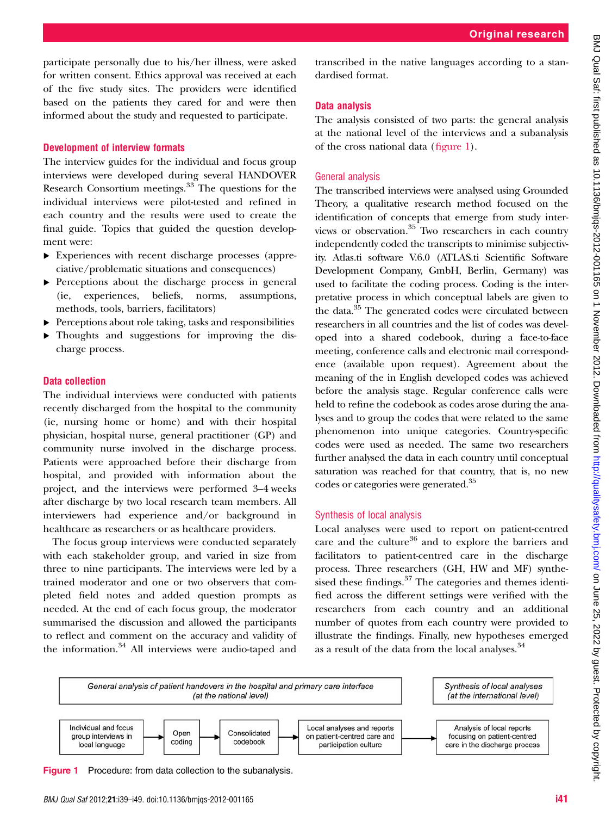participate personally due to his/her illness, were asked for written consent. Ethics approval was received at each of the five study sites. The providers were identified based on the patients they cared for and were then informed about the study and requested to participate.

## Development of interview formats

The interview guides for the individual and focus group interviews were developed during several HANDOVER Research Consortium meetings. $33$  The questions for the individual interviews were pilot-tested and refined in each country and the results were used to create the final guide. Topics that guided the question development were:

- ▸ Experiences with recent discharge processes (appreciative/problematic situations and consequences)
- ▸ Perceptions about the discharge process in general (ie, experiences, beliefs, norms, assumptions, methods, tools, barriers, facilitators)
- ▸ Perceptions about role taking, tasks and responsibilities
- ▸ Thoughts and suggestions for improving the discharge process.

# Data collection

The individual interviews were conducted with patients recently discharged from the hospital to the community (ie, nursing home or home) and with their hospital physician, hospital nurse, general practitioner (GP) and community nurse involved in the discharge process. Patients were approached before their discharge from hospital, and provided with information about the project, and the interviews were performed 3–4 weeks after discharge by two local research team members. All interviewers had experience and/or background in healthcare as researchers or as healthcare providers.

The focus group interviews were conducted separately with each stakeholder group, and varied in size from three to nine participants. The interviews were led by a trained moderator and one or two observers that completed field notes and added question prompts as needed. At the end of each focus group, the moderator summarised the discussion and allowed the participants to reflect and comment on the accuracy and validity of the information.<sup>34</sup> All interviews were audio-taped and

transcribed in the native languages according to a standardised format.

## Data analysis

The analysis consisted of two parts: the general analysis at the national level of the interviews and a subanalysis of the cross national data (figure 1).

## General analysis

The transcribed interviews were analysed using Grounded Theory, a qualitative research method focused on the identification of concepts that emerge from study interviews or observation.35 Two researchers in each country independently coded the transcripts to minimise subjectivity. Atlas.ti software V.6.0 (ATLAS.ti Scientific Software Development Company, GmbH, Berlin, Germany) was used to facilitate the coding process. Coding is the interpretative process in which conceptual labels are given to the data.<sup>35</sup> The generated codes were circulated between researchers in all countries and the list of codes was developed into a shared codebook, during a face-to-face meeting, conference calls and electronic mail correspondence (available upon request). Agreement about the meaning of the in English developed codes was achieved before the analysis stage. Regular conference calls were held to refine the codebook as codes arose during the analyses and to group the codes that were related to the same phenomenon into unique categories. Country-specific codes were used as needed. The same two researchers further analysed the data in each country until conceptual saturation was reached for that country, that is, no new codes or categories were generated.<sup>35</sup>

#### Synthesis of local analysis

Local analyses were used to report on patient-centred care and the culture $36$  and to explore the barriers and facilitators to patient-centred care in the discharge process. Three researchers (GH, HW and MF) synthesised these findings.<sup>37</sup> The categories and themes identified across the different settings were verified with the researchers from each country and an additional number of quotes from each country were provided to illustrate the findings. Finally, new hypotheses emerged as a result of the data from the local analyses.<sup>34</sup>



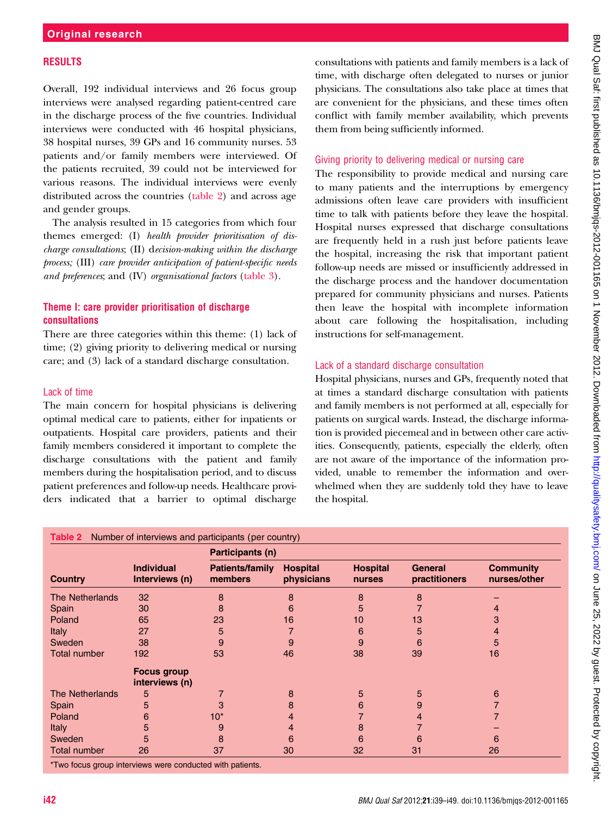# RESULTS

Overall, 192 individual interviews and 26 focus group interviews were analysed regarding patient-centred care in the discharge process of the five countries. Individual interviews were conducted with 46 hospital physicians, 38 hospital nurses, 39 GPs and 16 community nurses. 53 patients and/or family members were interviewed. Of the patients recruited, 39 could not be interviewed for various reasons. The individual interviews were evenly distributed across the countries (table 2) and across age and gender groups.

The analysis resulted in 15 categories from which four themes emerged: (I) health provider prioritisation of discharge consultations; (II) decision-making within the discharge process; (III) care provider anticipation of patient-specific needs and preferences; and (IV) organisational factors (table 3).

# Theme I: care provider prioritisation of discharge consultations

There are three categories within this theme: (1) lack of time; (2) giving priority to delivering medical or nursing care; and (3) lack of a standard discharge consultation.

# Lack of time

The main concern for hospital physicians is delivering optimal medical care to patients, either for inpatients or outpatients. Hospital care providers, patients and their family members considered it important to complete the discharge consultations with the patient and family members during the hospitalisation period, and to discuss patient preferences and follow-up needs. Healthcare providers indicated that a barrier to optimal discharge

consultations with patients and family members is a lack of time, with discharge often delegated to nurses or junior physicians. The consultations also take place at times that are convenient for the physicians, and these times often conflict with family member availability, which prevents them from being sufficiently informed.

# Giving priority to delivering medical or nursing care

The responsibility to provide medical and nursing care to many patients and the interruptions by emergency admissions often leave care providers with insufficient time to talk with patients before they leave the hospital. Hospital nurses expressed that discharge consultations are frequently held in a rush just before patients leave the hospital, increasing the risk that important patient follow-up needs are missed or insufficiently addressed in the discharge process and the handover documentation prepared for community physicians and nurses. Patients then leave the hospital with incomplete information about care following the hospitalisation, including instructions for self-management.

# Lack of a standard discharge consultation

Hospital physicians, nurses and GPs, frequently noted that at times a standard discharge consultation with patients and family members is not performed at all, especially for patients on surgical wards. Instead, the discharge information is provided piecemeal and in between other care activities. Consequently, patients, especially the elderly, often are not aware of the importance of the information provided, unable to remember the information and overwhelmed when they are suddenly told they have to leave the hospital.

|                        | <b>Individual</b><br>Interviews (n)  | Participants (n)                  |                               |                           |                          |                                  |  |
|------------------------|--------------------------------------|-----------------------------------|-------------------------------|---------------------------|--------------------------|----------------------------------|--|
| <b>Country</b>         |                                      | <b>Patients/family</b><br>members | <b>Hospital</b><br>physicians | <b>Hospital</b><br>nurses | General<br>practitioners | <b>Community</b><br>nurses/other |  |
| <b>The Netherlands</b> | 32                                   | 8                                 | 8                             | 8                         | 8                        |                                  |  |
| Spain                  | 30                                   | 8                                 | 6                             | 5                         |                          | 4                                |  |
| Poland                 | 65                                   | 23                                | 16                            | 10                        | 13                       | 3                                |  |
| <b>Italy</b>           | 27                                   | 5                                 |                               | 6                         | 5                        | 4                                |  |
| Sweden                 | 38                                   | 9                                 | 9                             | 9                         | 6                        | 5                                |  |
| <b>Total number</b>    | 192                                  | 53                                | 46                            | 38                        | 39                       | 16                               |  |
|                        | <b>Focus group</b><br>interviews (n) |                                   |                               |                           |                          |                                  |  |
| <b>The Netherlands</b> | 5                                    |                                   | 8                             | 5                         | 5                        | 6                                |  |
| Spain                  | 5                                    | 3                                 | 8                             | 6                         | 9                        | 7                                |  |
| Poland                 | 6                                    | $10*$                             |                               | $\overline{7}$            | 4                        |                                  |  |
| Italy                  | 5                                    | 9                                 | 4                             | 8                         |                          |                                  |  |
| Sweden                 | 5                                    | 8                                 | 6                             | 6                         | 6                        | 6                                |  |
| <b>Total number</b>    | 26                                   | 37                                | 30                            | 32                        | 31                       | 26                               |  |

\*Two focus group interviews were conducted with patients.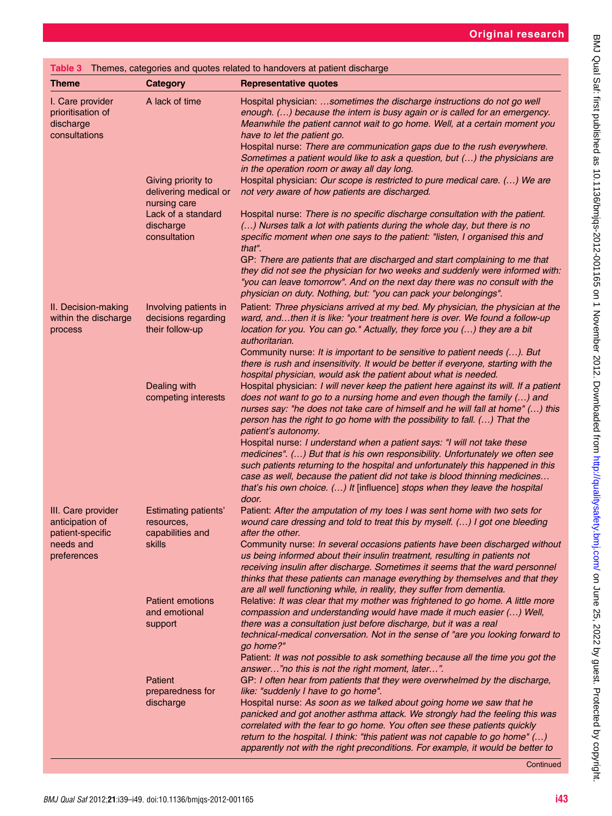| Table 3<br>Themes, categories and quotes related to handovers at patient discharge    |                                                                  |                                                                                                                                                                                                                                                                                                                                                                                                                                                                                                                                                                                                                                                                                                                                                                               |  |  |
|---------------------------------------------------------------------------------------|------------------------------------------------------------------|-------------------------------------------------------------------------------------------------------------------------------------------------------------------------------------------------------------------------------------------------------------------------------------------------------------------------------------------------------------------------------------------------------------------------------------------------------------------------------------------------------------------------------------------------------------------------------------------------------------------------------------------------------------------------------------------------------------------------------------------------------------------------------|--|--|
| <b>Theme</b>                                                                          | Category                                                         | <b>Representative quotes</b>                                                                                                                                                                                                                                                                                                                                                                                                                                                                                                                                                                                                                                                                                                                                                  |  |  |
| I. Care provider<br>prioritisation of<br>discharge<br>consultations                   | A lack of time                                                   | Hospital physician: sometimes the discharge instructions do not go well<br>enough. () because the intern is busy again or is called for an emergency.<br>Meanwhile the patient cannot wait to go home. Well, at a certain moment you<br>have to let the patient go.<br>Hospital nurse: There are communication gaps due to the rush everywhere.<br>Sometimes a patient would like to ask a question, but () the physicians are<br>in the operation room or away all day long.                                                                                                                                                                                                                                                                                                 |  |  |
|                                                                                       | Giving priority to<br>delivering medical or<br>nursing care      | Hospital physician: Our scope is restricted to pure medical care. () We are<br>not very aware of how patients are discharged.                                                                                                                                                                                                                                                                                                                                                                                                                                                                                                                                                                                                                                                 |  |  |
|                                                                                       | Lack of a standard<br>discharge<br>consultation                  | Hospital nurse: There is no specific discharge consultation with the patient.<br>() Nurses talk a lot with patients during the whole day, but there is no<br>specific moment when one says to the patient: "listen, I organised this and<br>that".                                                                                                                                                                                                                                                                                                                                                                                                                                                                                                                            |  |  |
|                                                                                       |                                                                  | GP: There are patients that are discharged and start complaining to me that<br>they did not see the physician for two weeks and suddenly were informed with:<br>"you can leave tomorrow". And on the next day there was no consult with the<br>physician on duty. Nothing, but: "you can pack your belongings".                                                                                                                                                                                                                                                                                                                                                                                                                                                               |  |  |
| II. Decision-making<br>within the discharge<br>process                                | Involving patients in<br>decisions regarding<br>their follow-up  | Patient: Three physicians arrived at my bed. My physician, the physician at the<br>ward, andthen it is like: "your treatment here is over. We found a follow-up<br>location for you. You can go." Actually, they force you () they are a bit<br>authoritarian.<br>Community nurse: It is important to be sensitive to patient needs (). But<br>there is rush and insensitivity. It would be better if everyone, starting with the<br>hospital physician, would ask the patient about what is needed.                                                                                                                                                                                                                                                                          |  |  |
|                                                                                       | Dealing with<br>competing interests                              | Hospital physician: I will never keep the patient here against its will. If a patient<br>does not want to go to a nursing home and even though the family () and<br>nurses say: "he does not take care of himself and he will fall at home" () this<br>person has the right to go home with the possibility to fall. () That the<br>patient's autonomy.<br>Hospital nurse: I understand when a patient says: "I will not take these<br>medicines". () But that is his own responsibility. Unfortunately we often see<br>such patients returning to the hospital and unfortunately this happened in this<br>case as well, because the patient did not take is blood thinning medicines<br>that's his own choice. () It [influence] stops when they leave the hospital<br>door. |  |  |
| III. Care provider<br>anticipation of<br>patient-specific<br>needs and<br>preferences | Estimating patients'<br>resources.<br>capabilities and<br>skills | Patient: After the amputation of my toes I was sent home with two sets for<br>wound care dressing and told to treat this by myself. () I got one bleeding<br>after the other.<br>Community nurse: In several occasions patients have been discharged without<br>us being informed about their insulin treatment, resulting in patients not<br>receiving insulin after discharge. Sometimes it seems that the ward personnel<br>thinks that these patients can manage everything by themselves and that they<br>are all well functioning while, in reality, they suffer from dementia.                                                                                                                                                                                         |  |  |
|                                                                                       | <b>Patient emotions</b><br>and emotional<br>support              | Relative: It was clear that my mother was frightened to go home. A little more<br>compassion and understanding would have made it much easier () Well,<br>there was a consultation just before discharge, but it was a real<br>technical-medical conversation. Not in the sense of "are you looking forward to<br>go home?"<br>Patient: It was not possible to ask something because all the time you got the<br>answer"no this is not the right moment, later".                                                                                                                                                                                                                                                                                                              |  |  |
|                                                                                       | Patient<br>preparedness for<br>discharge                         | GP: I often hear from patients that they were overwhelmed by the discharge,<br>like: "suddenly I have to go home".<br>Hospital nurse: As soon as we talked about going home we saw that he<br>panicked and got another asthma attack. We strongly had the feeling this was<br>correlated with the fear to go home. You often see these patients quickly<br>return to the hospital. I think: "this patient was not capable to go home" ()<br>apparently not with the right preconditions. For example, it would be better to                                                                                                                                                                                                                                                   |  |  |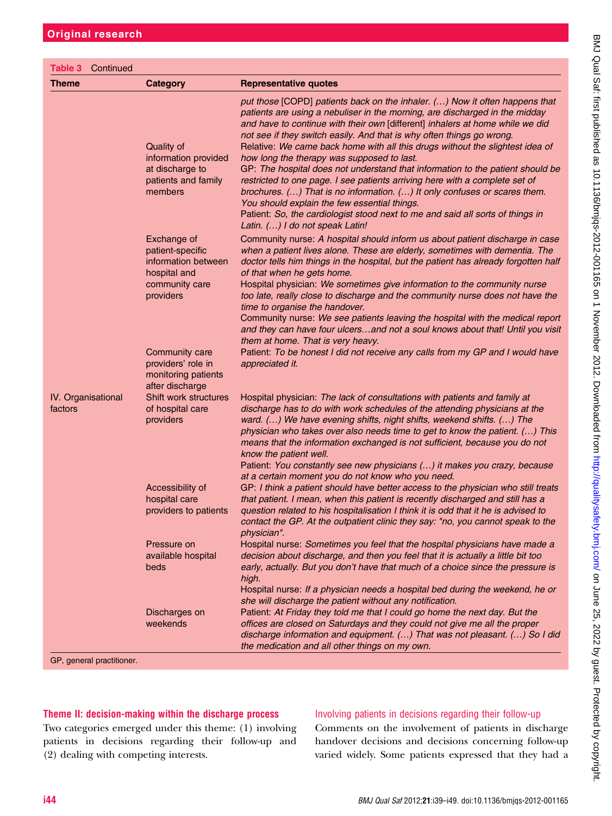| <b>Theme</b>                  | Category                                                                                | <b>Representative quotes</b>                                                                                                                                                                                                                                                                                                                                                                                                                                                                                                                                                                                                                                                                                                                                                                                                                                           |
|-------------------------------|-----------------------------------------------------------------------------------------|------------------------------------------------------------------------------------------------------------------------------------------------------------------------------------------------------------------------------------------------------------------------------------------------------------------------------------------------------------------------------------------------------------------------------------------------------------------------------------------------------------------------------------------------------------------------------------------------------------------------------------------------------------------------------------------------------------------------------------------------------------------------------------------------------------------------------------------------------------------------|
|                               |                                                                                         |                                                                                                                                                                                                                                                                                                                                                                                                                                                                                                                                                                                                                                                                                                                                                                                                                                                                        |
|                               | Quality of<br>information provided<br>at discharge to<br>patients and family<br>members | put those [COPD] patients back on the inhaler. () Now it often happens that<br>patients are using a nebuliser in the morning, are discharged in the midday<br>and have to continue with their own [different] inhalers at home while we did<br>not see if they switch easily. And that is why often things go wrong.<br>Relative: We came back home with all this drugs without the slightest idea of<br>how long the therapy was supposed to last.<br>GP: The hospital does not understand that information to the patient should be<br>restricted to one page. I see patients arriving here with a complete set of<br>brochures. () That is no information. () It only confuses or scares them.<br>You should explain the few essential things.<br>Patient: So, the cardiologist stood next to me and said all sorts of things in<br>Latin. () I do not speak Latin! |
|                               | Exchange of<br>patient-specific<br>information between<br>hospital and                  | Community nurse: A hospital should inform us about patient discharge in case<br>when a patient lives alone. These are elderly, sometimes with dementia. The<br>doctor tells him things in the hospital, but the patient has already forgotten half<br>of that when he gets home.                                                                                                                                                                                                                                                                                                                                                                                                                                                                                                                                                                                       |
|                               | community care<br>providers                                                             | Hospital physician: We sometimes give information to the community nurse<br>too late, really close to discharge and the community nurse does not have the<br>time to organise the handover.<br>Community nurse: We see patients leaving the hospital with the medical report<br>and they can have four ulcersand not a soul knows about that! Until you visit<br>them at home. That is very heavy.                                                                                                                                                                                                                                                                                                                                                                                                                                                                     |
|                               | Community care<br>providers' role in<br>monitoring patients<br>after discharge          | Patient: To be honest I did not receive any calls from my GP and I would have<br>appreciated it.                                                                                                                                                                                                                                                                                                                                                                                                                                                                                                                                                                                                                                                                                                                                                                       |
| IV. Organisational<br>factors | Shift work structures<br>of hospital care<br>providers                                  | Hospital physician: The lack of consultations with patients and family at<br>discharge has to do with work schedules of the attending physicians at the<br>ward. () We have evening shifts, night shifts, weekend shifts. () The<br>physician who takes over also needs time to get to know the patient. () This<br>means that the information exchanged is not sufficient, because you do not<br>know the patient well.<br>Patient: You constantly see new physicians () it makes you crazy, because                                                                                                                                                                                                                                                                                                                                                                  |
|                               | Accessibility of<br>hospital care<br>providers to patients                              | at a certain moment you do not know who you need.<br>GP: I think a patient should have better access to the physician who still treats<br>that patient. I mean, when this patient is recently discharged and still has a<br>question related to his hospitalisation I think it is odd that it he is advised to<br>contact the GP. At the outpatient clinic they say: "no, you cannot speak to the<br>physician".                                                                                                                                                                                                                                                                                                                                                                                                                                                       |
|                               | Pressure on<br>available hospital<br>beds                                               | Hospital nurse: Sometimes you feel that the hospital physicians have made a<br>decision about discharge, and then you feel that it is actually a little bit too<br>early, actually. But you don't have that much of a choice since the pressure is<br>high.<br>Hospital nurse: If a physician needs a hospital bed during the weekend, he or                                                                                                                                                                                                                                                                                                                                                                                                                                                                                                                           |
| GP, general practitioner.     | Discharges on<br>weekends                                                               | she will discharge the patient without any notification.<br>Patient: At Friday they told me that I could go home the next day. But the<br>offices are closed on Saturdays and they could not give me all the proper<br>discharge information and equipment. () That was not pleasant. () So I did<br>the medication and all other things on my own.                                                                                                                                                                                                                                                                                                                                                                                                                                                                                                                    |

# Theme II: decision-making within the discharge process

Two categories emerged under this theme: (1) involving patients in decisions regarding their follow-up and (2) dealing with competing interests.

# Involving patients in decisions regarding their follow-up

Comments on the involvement of patients in discharge handover decisions and decisions concerning follow-up varied widely. Some patients expressed that they had a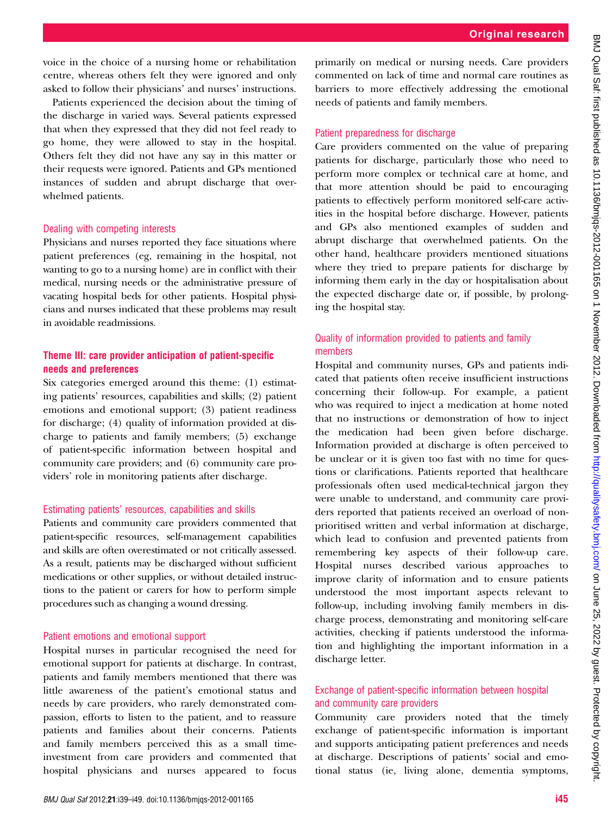voice in the choice of a nursing home or rehabilitation centre, whereas others felt they were ignored and only asked to follow their physicians' and nurses' instructions.

Patients experienced the decision about the timing of the discharge in varied ways. Several patients expressed that when they expressed that they did not feel ready to go home, they were allowed to stay in the hospital. Others felt they did not have any say in this matter or their requests were ignored. Patients and GPs mentioned instances of sudden and abrupt discharge that overwhelmed patients.

#### Dealing with competing interests

Physicians and nurses reported they face situations where patient preferences (eg, remaining in the hospital, not wanting to go to a nursing home) are in conflict with their medical, nursing needs or the administrative pressure of vacating hospital beds for other patients. Hospital physicians and nurses indicated that these problems may result in avoidable readmissions.

## Theme III: care provider anticipation of patient-specific needs and preferences

Six categories emerged around this theme: (1) estimating patients' resources, capabilities and skills; (2) patient emotions and emotional support; (3) patient readiness for discharge; (4) quality of information provided at discharge to patients and family members; (5) exchange of patient-specific information between hospital and community care providers; and (6) community care providers' role in monitoring patients after discharge.

#### Estimating patients' resources, capabilities and skills

Patients and community care providers commented that patient-specific resources, self-management capabilities and skills are often overestimated or not critically assessed. As a result, patients may be discharged without sufficient medications or other supplies, or without detailed instructions to the patient or carers for how to perform simple procedures such as changing a wound dressing.

#### Patient emotions and emotional support

Hospital nurses in particular recognised the need for emotional support for patients at discharge. In contrast, patients and family members mentioned that there was little awareness of the patient's emotional status and needs by care providers, who rarely demonstrated compassion, efforts to listen to the patient, and to reassure patients and families about their concerns. Patients and family members perceived this as a small timeinvestment from care providers and commented that hospital physicians and nurses appeared to focus primarily on medical or nursing needs. Care providers commented on lack of time and normal care routines as barriers to more effectively addressing the emotional needs of patients and family members.

#### Patient preparedness for discharge

Care providers commented on the value of preparing patients for discharge, particularly those who need to perform more complex or technical care at home, and that more attention should be paid to encouraging patients to effectively perform monitored self-care activities in the hospital before discharge. However, patients and GPs also mentioned examples of sudden and abrupt discharge that overwhelmed patients. On the other hand, healthcare providers mentioned situations where they tried to prepare patients for discharge by informing them early in the day or hospitalisation about the expected discharge date or, if possible, by prolonging the hospital stay.

# Quality of information provided to patients and family members

Hospital and community nurses, GPs and patients indicated that patients often receive insufficient instructions concerning their follow-up. For example, a patient who was required to inject a medication at home noted that no instructions or demonstration of how to inject the medication had been given before discharge. Information provided at discharge is often perceived to be unclear or it is given too fast with no time for questions or clarifications. Patients reported that healthcare professionals often used medical-technical jargon they were unable to understand, and community care providers reported that patients received an overload of nonprioritised written and verbal information at discharge, which lead to confusion and prevented patients from remembering key aspects of their follow-up care. Hospital nurses described various approaches to improve clarity of information and to ensure patients understood the most important aspects relevant to follow-up, including involving family members in discharge process, demonstrating and monitoring self-care activities, checking if patients understood the information and highlighting the important information in a discharge letter.

# Exchange of patient-specific information between hospital and community care providers

Community care providers noted that the timely exchange of patient-specific information is important and supports anticipating patient preferences and needs at discharge. Descriptions of patients' social and emotional status (ie, living alone, dementia symptoms,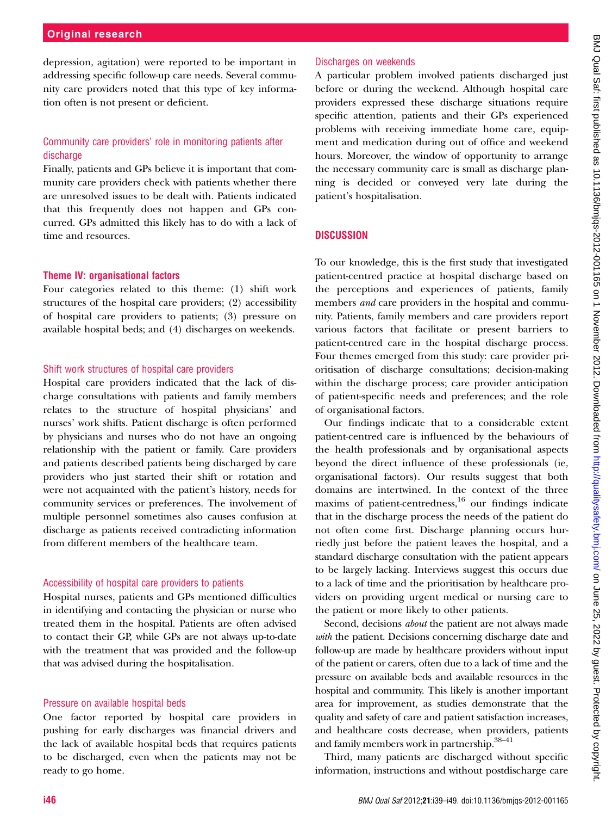depression, agitation) were reported to be important in addressing specific follow-up care needs. Several community care providers noted that this type of key information often is not present or deficient.

# Community care providers' role in monitoring patients after discharge

Finally, patients and GPs believe it is important that community care providers check with patients whether there are unresolved issues to be dealt with. Patients indicated that this frequently does not happen and GPs concurred. GPs admitted this likely has to do with a lack of time and resources.

## Theme IV: organisational factors

Four categories related to this theme: (1) shift work structures of the hospital care providers; (2) accessibility of hospital care providers to patients; (3) pressure on available hospital beds; and (4) discharges on weekends.

#### Shift work structures of hospital care providers

Hospital care providers indicated that the lack of discharge consultations with patients and family members relates to the structure of hospital physicians' and nurses' work shifts. Patient discharge is often performed by physicians and nurses who do not have an ongoing relationship with the patient or family. Care providers and patients described patients being discharged by care providers who just started their shift or rotation and were not acquainted with the patient's history, needs for community services or preferences. The involvement of multiple personnel sometimes also causes confusion at discharge as patients received contradicting information from different members of the healthcare team.

## Accessibility of hospital care providers to patients

Hospital nurses, patients and GPs mentioned difficulties in identifying and contacting the physician or nurse who treated them in the hospital. Patients are often advised to contact their GP, while GPs are not always up-to-date with the treatment that was provided and the follow-up that was advised during the hospitalisation.

## Pressure on available hospital beds

One factor reported by hospital care providers in pushing for early discharges was financial drivers and the lack of available hospital beds that requires patients to be discharged, even when the patients may not be ready to go home.

# Discharges on weekends

A particular problem involved patients discharged just before or during the weekend. Although hospital care providers expressed these discharge situations require specific attention, patients and their GPs experienced problems with receiving immediate home care, equipment and medication during out of office and weekend hours. Moreover, the window of opportunity to arrange the necessary community care is small as discharge planning is decided or conveyed very late during the patient's hospitalisation.

# **DISCUSSION**

To our knowledge, this is the first study that investigated patient-centred practice at hospital discharge based on the perceptions and experiences of patients, family members and care providers in the hospital and community. Patients, family members and care providers report various factors that facilitate or present barriers to patient-centred care in the hospital discharge process. Four themes emerged from this study: care provider prioritisation of discharge consultations; decision-making within the discharge process; care provider anticipation of patient-specific needs and preferences; and the role of organisational factors.

Our findings indicate that to a considerable extent patient-centred care is influenced by the behaviours of the health professionals and by organisational aspects beyond the direct influence of these professionals (ie, organisational factors). Our results suggest that both domains are intertwined. In the context of the three maxims of patient-centredness, $16$  our findings indicate that in the discharge process the needs of the patient do not often come first. Discharge planning occurs hurriedly just before the patient leaves the hospital, and a standard discharge consultation with the patient appears to be largely lacking. Interviews suggest this occurs due to a lack of time and the prioritisation by healthcare providers on providing urgent medical or nursing care to the patient or more likely to other patients.

Second, decisions *about* the patient are not always made with the patient. Decisions concerning discharge date and follow-up are made by healthcare providers without input of the patient or carers, often due to a lack of time and the pressure on available beds and available resources in the hospital and community. This likely is another important area for improvement, as studies demonstrate that the quality and safety of care and patient satisfaction increases, and healthcare costs decrease, when providers, patients and family members work in partnership.<sup>38–41</sup>

Third, many patients are discharged without specific information, instructions and without postdischarge care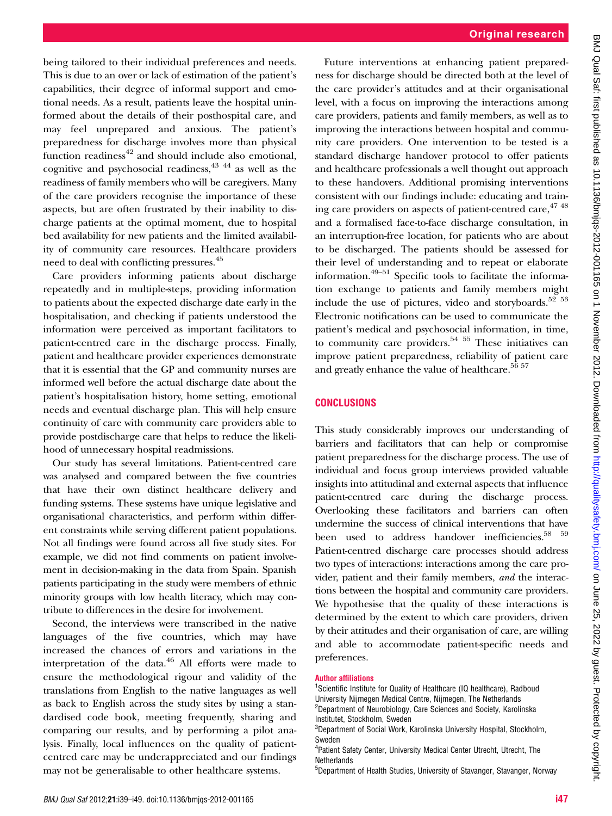being tailored to their individual preferences and needs. This is due to an over or lack of estimation of the patient's capabilities, their degree of informal support and emotional needs. As a result, patients leave the hospital uninformed about the details of their posthospital care, and may feel unprepared and anxious. The patient's preparedness for discharge involves more than physical function readiness $42$  and should include also emotional, cognitive and psychosocial readiness,43 44 as well as the readiness of family members who will be caregivers. Many of the care providers recognise the importance of these aspects, but are often frustrated by their inability to discharge patients at the optimal moment, due to hospital bed availability for new patients and the limited availability of community care resources. Healthcare providers need to deal with conflicting pressures.<sup>45</sup>

Care providers informing patients about discharge repeatedly and in multiple-steps, providing information to patients about the expected discharge date early in the hospitalisation, and checking if patients understood the information were perceived as important facilitators to patient-centred care in the discharge process. Finally, patient and healthcare provider experiences demonstrate that it is essential that the GP and community nurses are informed well before the actual discharge date about the patient's hospitalisation history, home setting, emotional needs and eventual discharge plan. This will help ensure continuity of care with community care providers able to provide postdischarge care that helps to reduce the likelihood of unnecessary hospital readmissions.

Our study has several limitations. Patient-centred care was analysed and compared between the five countries that have their own distinct healthcare delivery and funding systems. These systems have unique legislative and organisational characteristics, and perform within different constraints while serving different patient populations. Not all findings were found across all five study sites. For example, we did not find comments on patient involvement in decision-making in the data from Spain. Spanish patients participating in the study were members of ethnic minority groups with low health literacy, which may contribute to differences in the desire for involvement.

Second, the interviews were transcribed in the native languages of the five countries, which may have increased the chances of errors and variations in the interpretation of the data. $46$  All efforts were made to ensure the methodological rigour and validity of the translations from English to the native languages as well as back to English across the study sites by using a standardised code book, meeting frequently, sharing and comparing our results, and by performing a pilot analysis. Finally, local influences on the quality of patientcentred care may be underappreciated and our findings may not be generalisable to other healthcare systems.

# Original research

Future interventions at enhancing patient preparedness for discharge should be directed both at the level of the care provider's attitudes and at their organisational level, with a focus on improving the interactions among care providers, patients and family members, as well as to improving the interactions between hospital and community care providers. One intervention to be tested is a standard discharge handover protocol to offer patients and healthcare professionals a well thought out approach to these handovers. Additional promising interventions consistent with our findings include: educating and training care providers on aspects of patient-centred care,  $4748$ and a formalised face-to-face discharge consultation, in an interruption-free location, for patients who are about to be discharged. The patients should be assessed for their level of understanding and to repeat or elaborate information.49–<sup>51</sup> Specific tools to facilitate the information exchange to patients and family members might include the use of pictures, video and storyboards.<sup>52</sup> <sup>53</sup> Electronic notifications can be used to communicate the patient's medical and psychosocial information, in time, to community care providers. $54 \times 55$  These initiatives can improve patient preparedness, reliability of patient care and greatly enhance the value of healthcare.<sup>56 57</sup>

## **CONCLUSIONS**

This study considerably improves our understanding of barriers and facilitators that can help or compromise patient preparedness for the discharge process. The use of individual and focus group interviews provided valuable insights into attitudinal and external aspects that influence patient-centred care during the discharge process. Overlooking these facilitators and barriers can often undermine the success of clinical interventions that have been used to address handover inefficiencies.<sup>58</sup> <sup>59</sup> Patient-centred discharge care processes should address two types of interactions: interactions among the care provider, patient and their family members, and the interactions between the hospital and community care providers. We hypothesise that the quality of these interactions is determined by the extent to which care providers, driven by their attitudes and their organisation of care, are willing and able to accommodate patient-specific needs and preferences.

#### Author affiliations

<sup>1</sup>Scientific Institute for Quality of Healthcare (IQ healthcare), Radboud University Nijmegen Medical Centre, Nijmegen, The Netherlands <sup>2</sup>Department of Neurobiology, Care Sciences and Society, Karolinska Institutet, Stockholm, Sweden

5 Department of Health Studies, University of Stavanger, Stavanger, Norway

<sup>3</sup> Department of Social Work, Karolinska University Hospital, Stockholm, Sweden

<sup>4</sup> Patient Safety Center, University Medical Center Utrecht, Utrecht, The **Netherlands**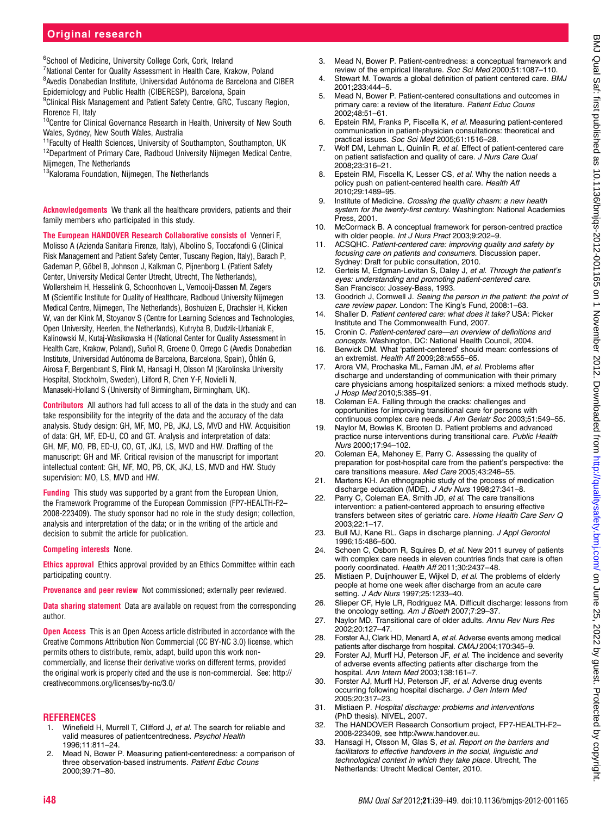# Original research

<sup>6</sup>School of Medicine, University College Cork, Cork, Ireland

<sup>7</sup> National Center for Quality Assessment in Health Care, Krakow, Poland 8 Avedis Donabedian Institute, Universidad Autónoma de Barcelona and CIBER

Epidemiology and Public Health (CIBERESP), Barcelona, Spain

<sup>9</sup>Clinical Risk Management and Patient Safety Centre, GRC, Tuscany Region, Florence FI, Italy

<sup>10</sup>Centre for Clinical Governance Research in Health, University of New South Wales, Sydney, New South Wales, Australia

<sup>11</sup> Faculty of Health Sciences, University of Southampton, Southampton, UK <sup>12</sup>Department of Primary Care, Radboud University Nijmegen Medical Centre, Nijmegen, The Netherlands

13Kalorama Foundation, Nijmegen, The Netherlands

Acknowledgements We thank all the healthcare providers, patients and their family members who participated in this study.

The European HANDOVER Research Collaborative consists of Venneri F, Molisso A (Azienda Sanitaria Firenze, Italy), Albolino S, Toccafondi G (Clinical Risk Management and Patient Safety Center, Tuscany Region, Italy), Barach P, Gademan P, Göbel B, Johnson J, Kalkman C, Pijnenborg L (Patient Safety Center, University Medical Center Utrecht, Utrecht, The Netherlands), Wollersheim H, Hesselink G, Schoonhoven L, Vernooij-Dassen M, Zegers M (Scientific Institute for Quality of Healthcare, Radboud University Nijmegen Medical Centre, Nijmegen, The Netherlands), Boshuizen E, Drachsler H, Kicken W, van der Klink M, Stoyanov S (Centre for Learning Sciences and Technologies, Open University, Heerlen, the Netherlands), Kutryba B, Dudzik-Urbaniak E, Kalinowski M, Kutaj-Wasikowska H (National Center for Quality Assessment in Health Care, Krakow, Poland), Suñol R, Groene O, Orrego C (Avedis Donabedian Institute, Universidad Autónoma de Barcelona, Barcelona, Spain), Öhlén G, Airosa F, Bergenbrant S, Flink M, Hansagi H, Olsson M (Karolinska University Hospital, Stockholm, Sweden), Lilford R, Chen Y-F, Novielli N, Manaseki-Holland S (University of Birmingham, Birmingham, UK).

**Contributors** All authors had full access to all of the data in the study and can take responsibility for the integrity of the data and the accuracy of the data analysis. Study design: GH, MF, MO, PB, JKJ, LS, MVD and HW. Acquisition of data: GH, MF, ED-U, CO and GT. Analysis and interpretation of data: GH, MF, MO, PB, ED-U, CO, GT, JKJ, LS, MVD and HW. Drafting of the manuscript: GH and MF. Critical revision of the manuscript for important intellectual content: GH, MF, MO, PB, CK, JKJ, LS, MVD and HW. Study supervision: MO, LS, MVD and HW.

Funding This study was supported by a grant from the European Union, the Framework Programme of the European Commission (FP7-HEALTH-F2– 2008-223409). The study sponsor had no role in the study design; collection, analysis and interpretation of the data; or in the writing of the article and decision to submit the article for publication.

#### Competing interests None.

Ethics approval Ethics approval provided by an Ethics Committee within each participating country.

Provenance and peer review Not commissioned; externally peer reviewed.

Data sharing statement Data are available on request from the corresponding author.

**Open Access** This is an Open Access article distributed in accordance with the Creative Commons Attribution Non Commercial (CC BY-NC 3.0) license, which permits others to distribute, remix, adapt, build upon this work noncommercially, and license their derivative works on different terms, provided the original work is properly cited and the use is non-commercial. See: http:// creativecommons.org/licenses/by-nc/3.0/

#### **REFERENCES**

- Winefield H, Murrell T, Clifford J, et al. The search for reliable and valid measures of patientcentredness. Psychol Health 1996;11:811–24.
- 2. Mead N, Bower P. Measuring patient-centeredness: a comparison of three observation-based instruments. Patient Educ Couns 2000;39:71–80.
- 3. Mead N, Bower P. Patient-centredness: a conceptual framework and review of the empirical literature. Soc Sci Med 2000;51:1087–110.
- 4. Stewart M. Towards a global definition of patient centered care. BMJ 2001;233:444–5.
- 5. Mead N, Bower P. Patient-centered consultations and outcomes in primary care: a review of the literature. Patient Educ Couns 2002;48:51–61.
- 6. Epstein RM, Franks P, Fiscella K, et al. Measuring patient-centered communication in patient-physician consultations: theoretical and practical issues. Soc Sci Med 2005;61:1516-28.
- 7. Wolf DM, Lehman L, Quinlin R, et al. Effect of patient-centered care on patient satisfaction and quality of care. J Nurs Care Qual 2008;23:316–21.
- 8. Epstein RM, Fiscella K, Lesser CS, et al. Why the nation needs a policy push on patient-centered health care. Health Aff 2010;29:1489–95.
- Institute of Medicine. Crossing the quality chasm: a new health system for the twenty-first century. Washington: National Academies Press, 2001.
- 10. McCormack B. A conceptual framework for person-centred practice with older people. Int J Nurs Pract 2003;9:202-9.
- 11. ACSQHC. Patient-centered care: improving quality and safety by focusing care on patients and consumers. Discussion paper. Sydney: Draft for public consultation, 2010.
- 12. Gerteis M, Edgman-Levitan S, Daley J, et al. Through the patient's eyes: understanding and promoting patient-centered care. San Francisco: Jossey-Bass, 1993.
- 13. Goodrich J, Cornwell J. Seeing the person in the patient: the point of care review paper. London: The King's Fund, 2008:1–63.
- 14. Shaller D. Patient centered care: what does it take? USA: Picker Institute and The Commonwealth Fund, 2007.
- 15. Cronin C. Patient-centered care—an overview of definitions and concepts. Washington, DC: National Health Council, 2004.
- 16. Berwick DM. What 'patient-centered' should mean: confessions of an extremist. Health Aff 2009;28:w555–65.
- 17. Arora VM, Prochaska ML, Farnan JM, et al. Problems after discharge and understanding of communication with their primary care physicians among hospitalized seniors: a mixed methods study. J Hosp Med 2010;5:385–91.
- 18. Coleman EA. Falling through the cracks: challenges and opportunities for improving transitional care for persons with continuous complex care needs. J Am Geriatr Soc 2003;51:549–55.
- 19. Naylor M, Bowles K, Brooten D. Patient problems and advanced practice nurse interventions during transitional care. Public Health Nurs 2000;17:94–102.
- 20. Coleman EA, Mahoney E, Parry C. Assessing the quality of preparation for post-hospital care from the patient's perspective: the care transitions measure. Med Care 2005;43:246–55.
- 21. Martens KH. An ethnographic study of the process of medication discharge education (MDE). J Adv Nurs 1998;27:341–8.
- 22. Parry C, Coleman EA, Smith JD, et al. The care transitions intervention: a patient-centered approach to ensuring effective transfers between sites of geriatric care. Home Health Care Serv Q 2003;22:1–17.
- 23. Bull MJ, Kane RL. Gaps in discharge planning. J Appl Gerontol 1996;15:486–500.
- 24. Schoen C, Osborn R, Squires D, et al. New 2011 survey of patients with complex care needs in eleven countries finds that care is often poorly coordinated. Health Aff 2011;30:2437–48.
- 25. Mistiaen P, Duijnhouwer E, Wijkel D, et al. The problems of elderly people at home one week after discharge from an acute care setting. J Adv Nurs 1997;25:1233–40.
- 26. Slieper CF, Hyle LR, Rodriguez MA. Difficult discharge: lessons from the oncology setting. Am J Bioeth 2007;7:29–37.
- 27. Naylor MD. Transitional care of older adults. Annu Rev Nurs Res 2002;20:127–47.
- 28. Forster AJ, Clark HD, Menard A, et al. Adverse events among medical patients after discharge from hospital. CMAJ 2004;170:345-9.
- 29. Forster AJ, Murff HJ, Peterson JF, et al. The incidence and severity of adverse events affecting patients after discharge from the hospital. Ann Intern Med 2003;138:161–7.
- 30. Forster AJ, Murff HJ, Peterson JF, et al. Adverse drug events occurring following hospital discharge. J Gen Intern Med 2005;20:317–23.
- 31. Mistiaen P. Hospital discharge: problems and interventions (PhD thesis). NIVEL, 2007.
- 32. The HANDOVER Research Consortium project, FP7-HEALTH-F2– 2008-223409, see<http://www.handover.eu>.
- 33. Hansagi H, Olsson M, Glas S, et al. Report on the barriers and facilitators to effective handovers in the social, linguistic and technological context in which they take place. Utrecht, The Netherlands: Utrecht Medical Center, 2010.